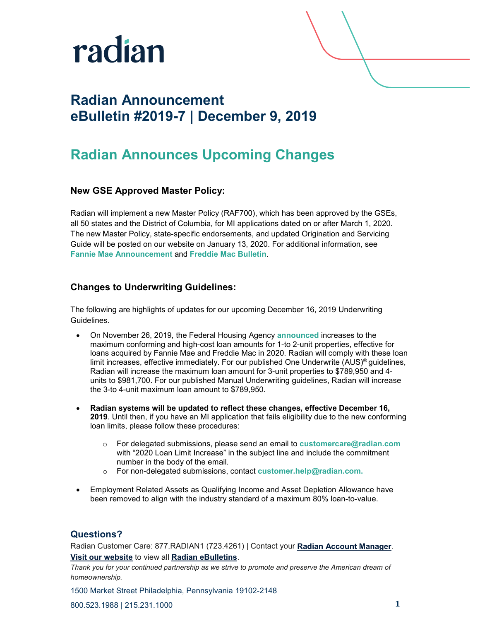

## **Radian Announcement eBulletin #2019-7 | December 9, 2019**

## **Radian Announces Upcoming Changes**

#### **New GSE Approved Master Policy:**

Radian will implement a new Master Policy (RAF700), which has been approved by the GSEs, all 50 states and the District of Columbia, for MI applications dated on or after March 1, 2020. The new Master Policy, state-specific endorsements, and updated Origination and Servicing Guide will be posted on our website on January 13, 2020. For additional information, see **[Fannie Mae Announcement](https://www.fanniemae.com/content/announcement/ll1908.pdf)** and **[Freddie Mac Bulletin](https://guide.freddiemac.com/app/guide/content/a_id/1003515)**.

#### **Changes to Underwriting Guidelines:**

The following are highlights of updates for our upcoming December 16, 2019 Underwriting Guidelines.

- On November 26, 2019, the Federal Housing Agency **[announced](https://www.fhfa.gov/Media/PublicAffairs/Pages/FHFA-Announces-Maximum-Conforming-Loan-Limits-for-2020.aspx)** increases to the maximum conforming and high-cost loan amounts for 1-to 2-unit properties, effective for loans acquired by Fannie Mae and Freddie Mac in 2020. Radian will comply with these loan limit increases, effective immediately. For our published One Underwrite (AUS)® guidelines, Radian will increase the maximum loan amount for 3-unit properties to \$789,950 and 4 units to \$981,700. For our published Manual Underwriting guidelines, Radian will increase the 3-to 4-unit maximum loan amount to \$789,950.
- **Radian systems will be updated to reflect these changes, effective December 16, 2019**. Until then, if you have an MI application that fails eligibility due to the new conforming loan limits, please follow these procedures:
	- o For delegated submissions, please send an email to **[customercare@radian.com](mailto:customercare@radian.com)** with "2020 Loan Limit Increase" in the subject line and include the commitment number in the body of the email.
	- o For non-delegated submissions, contact **[customer.help@radian.com.](mailto:customer.help@radian.com)**
- Employment Related Assets as Qualifying Income and Asset Depletion Allowance have been removed to align with the industry standard of a maximum 80% loan-to-value.

#### **Questions?**

Radian Customer Care: 877.RADIAN1 (723.4261) | Contact your **[Radian Account Manager](http://www.radian.biz/page?name=SalesRepFinder)**. **[Visit our website](https://www.radian.biz/page?name=HomePage)** to view all **[Radian eBulletins](http://www.radian.biz/page?name=RadianEbulletins)**.

*Thank you for your continued partnership as we strive to promote and preserve the American dream of homeownership.*

1500 Market Street Philadelphia, Pennsylvania 19102-2148

800.523.1988 | 215.231.1000 **1**